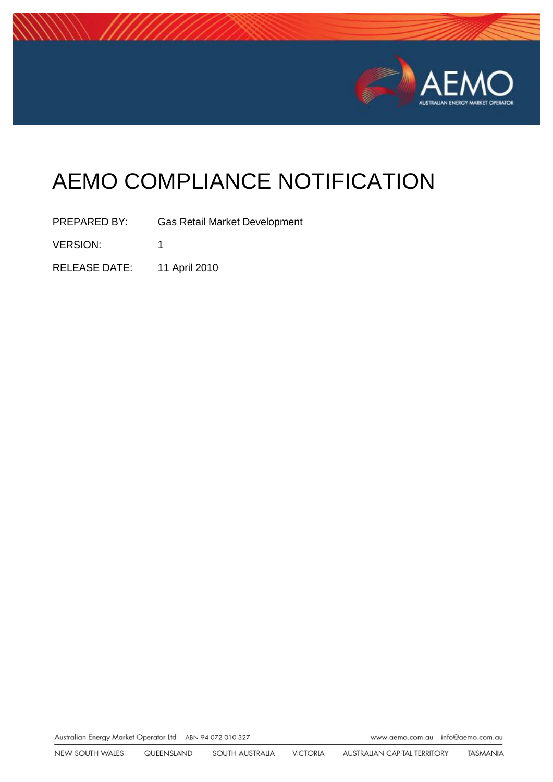

# AEMO COMPLIANCE NOTIFICATION

PREPARED BY: Gas Retail Market Development VERSION: 1

RELEASE DATE: 11 April 2010

Australian Energy Market Operator Ltd ABN 94 072 010 327

www.aemo.com.au info@aemo.com.au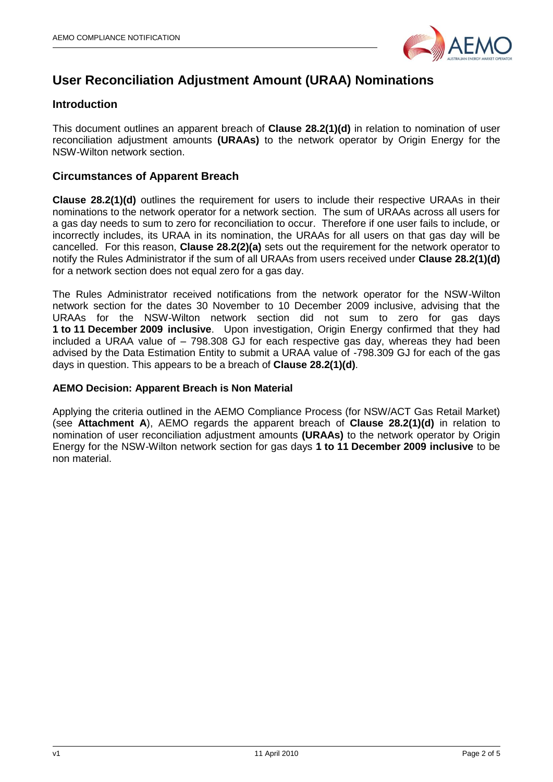

# **User Reconciliation Adjustment Amount (URAA) Nominations**

## **Introduction**

This document outlines an apparent breach of **Clause 28.2(1)(d)** in relation to nomination of user reconciliation adjustment amounts **(URAAs)** to the network operator by Origin Energy for the NSW-Wilton network section.

## **Circumstances of Apparent Breach**

**Clause 28.2(1)(d)** outlines the requirement for users to include their respective URAAs in their nominations to the network operator for a network section. The sum of URAAs across all users for a gas day needs to sum to zero for reconciliation to occur. Therefore if one user fails to include, or incorrectly includes, its URAA in its nomination, the URAAs for all users on that gas day will be cancelled. For this reason, **Clause 28.2(2)(a)** sets out the requirement for the network operator to notify the Rules Administrator if the sum of all URAAs from users received under **Clause 28.2(1)(d)** for a network section does not equal zero for a gas day.

The Rules Administrator received notifications from the network operator for the NSW-Wilton network section for the dates 30 November to 10 December 2009 inclusive, advising that the URAAs for the NSW-Wilton network section did not sum to zero for gas days **1 to 11 December 2009 inclusive**. Upon investigation, Origin Energy confirmed that they had included a URAA value of – 798.308 GJ for each respective gas day, whereas they had been advised by the Data Estimation Entity to submit a URAA value of -798.309 GJ for each of the gas days in question. This appears to be a breach of **Clause 28.2(1)(d)**.

### **AEMO Decision: Apparent Breach is Non Material**

Applying the criteria outlined in the AEMO Compliance Process (for NSW/ACT Gas Retail Market) (see **Attachment A**), AEMO regards the apparent breach of **Clause 28.2(1)(d)** in relation to nomination of user reconciliation adjustment amounts **(URAAs)** to the network operator by Origin Energy for the NSW-Wilton network section for gas days **1 to 11 December 2009 inclusive** to be non material.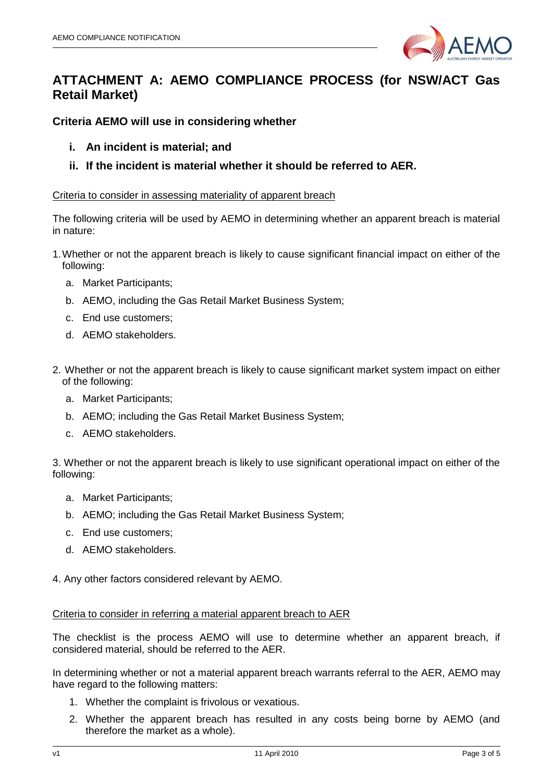

# **ATTACHMENT A: AEMO COMPLIANCE PROCESS (for NSW/ACT Gas Retail Market)**

**Criteria AEMO will use in considering whether**

- **i. An incident is material; and**
- **ii. If the incident is material whether it should be referred to AER.**

#### Criteria to consider in assessing materiality of apparent breach

The following criteria will be used by AEMO in determining whether an apparent breach is material in nature:

- 1.Whether or not the apparent breach is likely to cause significant financial impact on either of the following:
	- a. Market Participants;
	- b. AEMO, including the Gas Retail Market Business System;
	- c. End use customers;
	- d. AEMO stakeholders.
- 2. Whether or not the apparent breach is likely to cause significant market system impact on either of the following:
	- a. Market Participants;
	- b. AEMO; including the Gas Retail Market Business System;
	- c. AEMO stakeholders.

3. Whether or not the apparent breach is likely to use significant operational impact on either of the following:

- a. Market Participants;
- b. AEMO; including the Gas Retail Market Business System;
- c. End use customers;
- d. AEMO stakeholders.

4. Any other factors considered relevant by AEMO.

#### Criteria to consider in referring a material apparent breach to AER

The checklist is the process AEMO will use to determine whether an apparent breach, if considered material, should be referred to the AER.

In determining whether or not a material apparent breach warrants referral to the AER, AEMO may have regard to the following matters:

- 1. Whether the complaint is frivolous or vexatious.
- 2. Whether the apparent breach has resulted in any costs being borne by AEMO (and therefore the market as a whole).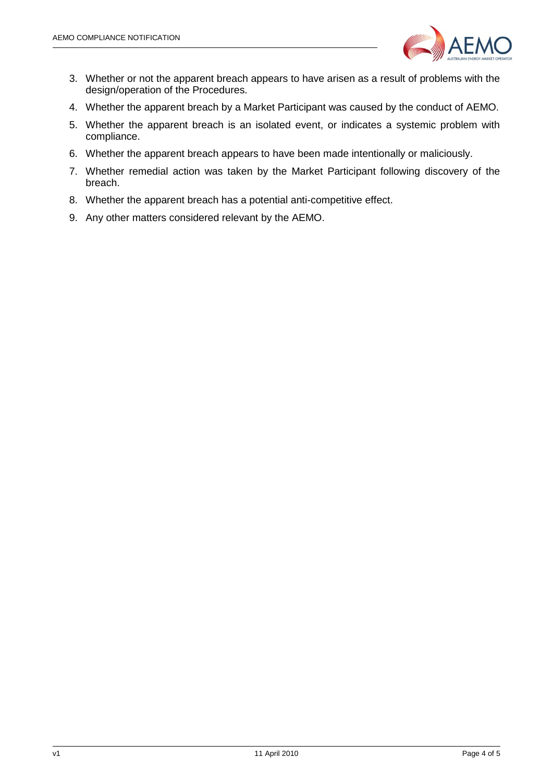

- 3. Whether or not the apparent breach appears to have arisen as a result of problems with the design/operation of the Procedures.
- 4. Whether the apparent breach by a Market Participant was caused by the conduct of AEMO.
- 5. Whether the apparent breach is an isolated event, or indicates a systemic problem with compliance.
- 6. Whether the apparent breach appears to have been made intentionally or maliciously.
- 7. Whether remedial action was taken by the Market Participant following discovery of the breach.
- 8. Whether the apparent breach has a potential anti-competitive effect.
- 9. Any other matters considered relevant by the AEMO.